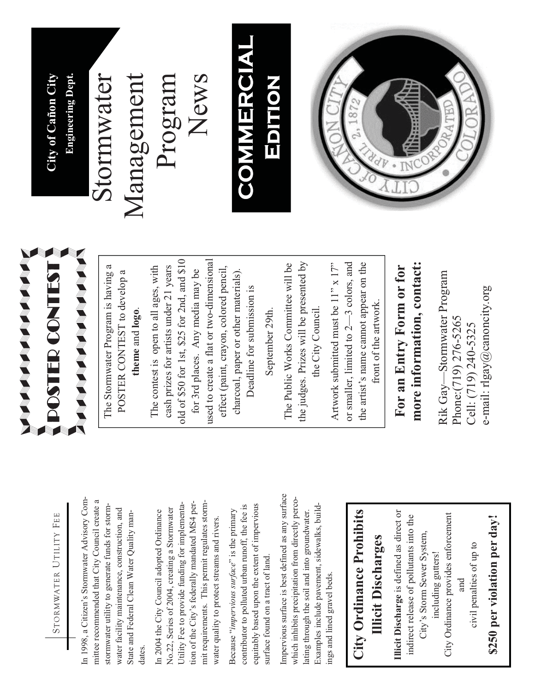

In 1998, a Citizen's Stormwater Advisory Com-In 1998, a Citizen's Stormwater Advisory Committee recommended that City Council create a mittee recommended that City Council create a stormwater utility to generate funds for stormstormwater utility to generate funds for stormwater facility maintenance, construction, and water facility maintenance, construction, and State and Federal Clean Water Quality man-State and Federal Clean Water Quality mandates.

tion of the City's federally mandated MS4 permit requirements. This permit regulates storm-Utility Fee to provide funding for implementation of the City's federally mandated MS4 permit requirements. This permit regulates storm-Utility Fee to provide funding for implementa-No.22, Series of 2004, creating a Stormwater No.22, Series of 2004, creating a Stormwater In 2004 the City Council adopted Ordinance In 2004 the City Council adopted Ordinance water quality to protect streams and rivers. water quality to protect streams and rivers.

equitably based upon the extent of impervious equitably based upon the extent of impervious contributor to polluted urban runoff, the fee is contributor to polluted urban runoff, the fee is Because "*impervious surface*" is the primary Because "impervious surface" is the primary surface found on a tract of land. surface found on a tract of land.

Impervious surface is best defined as any surface Impervious surface is best defined as any surface which inhibits precipitation from directly percowhich inhibits precipitation from directly perco-Examples include pavement, sidewalks, build-Examples include pavement, sidewalks, buildlating through the soil and into groundwater. lating through the soil and into groundwater. ings and lined gravel beds. ings and lined gravel beds.

#### **City Ordinance Prohibits**  City Ordinance Prohibits **Illicit Discharges Illicit Discharges**

**Illicit Discharge** is defined as direct or Illicit Discharge is defined as direct or City Ordinance provides enforcement indirect release of pollutants into the indirect release of pollutants into the City Ordinance provides enforcement City's Storm Sewer System, City's Storm Sewer System, civil penalties of up to civil penalties of up to including gutters! including gutters! and

# \$250 per violation per day! **\$250 per violation per day!**



The Stormwater Program is having a The Stormwater Program is having a POSTER CONTEST to develop a POSTER CONTEST to develop a **theme** and **logo**. theme and logo.

old of \$50 for 1st, \$25 for 2nd, and \$10 used to create a flat or two-dimensional old of \$50 for 1st, \$25 for 2nd, and \$10 used to create a flat or two-dimensional The contest is open to all ages, with cash prizes for artists under 21 years cash prizes for artists under 21 years effect (paint, crayon, colored pencil, The contest is open to all ages, with for 3rd places. Any media may be for 3rd places. Any media may be effect (paint, crayon, colored pencil, charcoal, paper or other materials). charcoal, paper or other materials). Deadline for submission is Deadline for submission is

September 29th. September 29th.

the judges. Prizes will be presented by The Public Works Committee will be The Public Works Committee will be the judges. Prizes will be presented by the City Council. the City Council.

Artwork submitted must be 11" x 17" or smaller, limited to 2—3 colors, and the artist's name cannot appear on the the artist's name cannot appear on the Artwork submitted must be  $11"$  x  $17"$ or smaller, limited to  $2-3$  colors, and front of the artwork. front of the artwork.

### **more information, contact:**  more information, contact: **For an Entry Form or for**  For an Entry Form or for

Rik Gay—Stormwater Program Rik Gay-Stormwater Program e-mail: rlgay@canoncity.org e-mail: rlgay@canoncity.org Phone:(719) 276-5265 Phone:(719) 276-5265 Cell: (719) 240-5325 Cell: (719) 240-5325

ST **City of Cañon City Engineering Dept.**  City of Cañon City **Engineering Dept.** 

## Stormwater Stormwater

Management News Management Program

### **COMMERCIAL** COMMERCIAL EDITION **Edition**